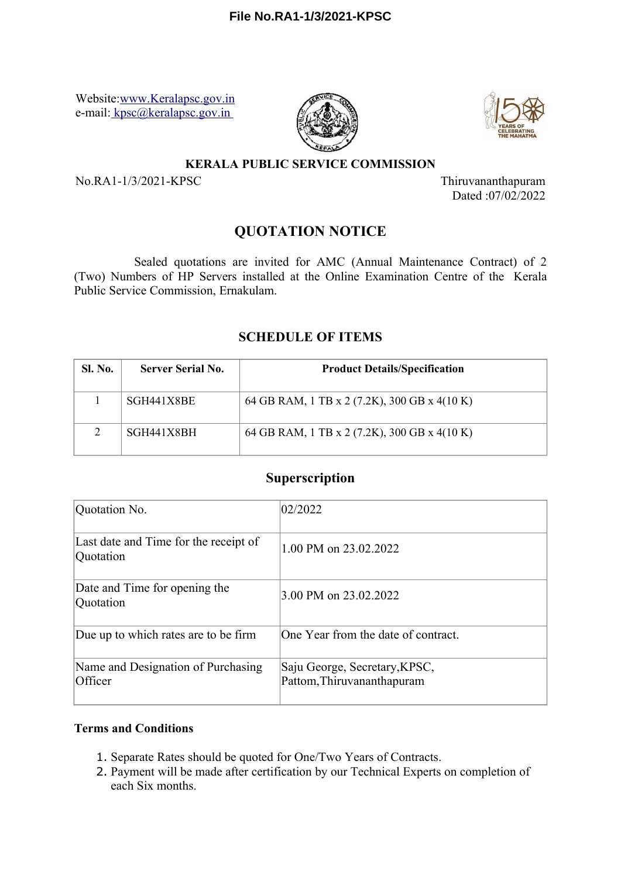Website[:www.Keralapsc.gov.in](file:////Uploads/EFILE/FileUploads/draftversion/pdf/www.Keralapsc.gov.in) e-mail[: kpsc@keralapsc.gov.in](file:////Uploads/EFILE/FileUploads/draftversion/pdf/kpsc@keralapsc.gov.in) 





#### **KERALA PUBLIC SERVICE COMMISSION**

No.RA1-1/3/2021-KPSC Thiruvananthapuram

Dated :07/02/2022

# **QUOTATION NOTICE**

Sealed quotations are invited for AMC (Annual Maintenance Contract) of 2 (Two) Numbers of HP Servers installed at the Online Examination Centre of the Kerala Public Service Commission, Ernakulam.

## **SCHEDULE OF ITEMS**

| <b>Sl. No.</b> | <b>Server Serial No.</b> | <b>Product Details/Specification</b>         |
|----------------|--------------------------|----------------------------------------------|
|                | SGH441X8BE               | 64 GB RAM, 1 TB x 2 (7.2K), 300 GB x 4(10 K) |
| $\mathcal{D}$  | SGH441X8BH               | 64 GB RAM, 1 TB x 2 (7.2K), 300 GB x 4(10 K) |

## **Superscription**

| Quotation No.                                      | 02/2022                                                     |  |  |
|----------------------------------------------------|-------------------------------------------------------------|--|--|
| Last date and Time for the receipt of<br>Quotation | 1.00 PM on 23.02.2022                                       |  |  |
| Date and Time for opening the<br>Quotation         | 3.00 PM on 23.02.2022                                       |  |  |
| Due up to which rates are to be firm               | One Year from the date of contract.                         |  |  |
| Name and Designation of Purchasing<br>Officer      | Saju George, Secretary, KPSC,<br>Pattom, Thiruvananthapuram |  |  |

### **Terms and Conditions**

- 1. Separate Rates should be quoted for One/Two Years of Contracts.
- 2. Payment will be made after certification by our Technical Experts on completion of each Six months.